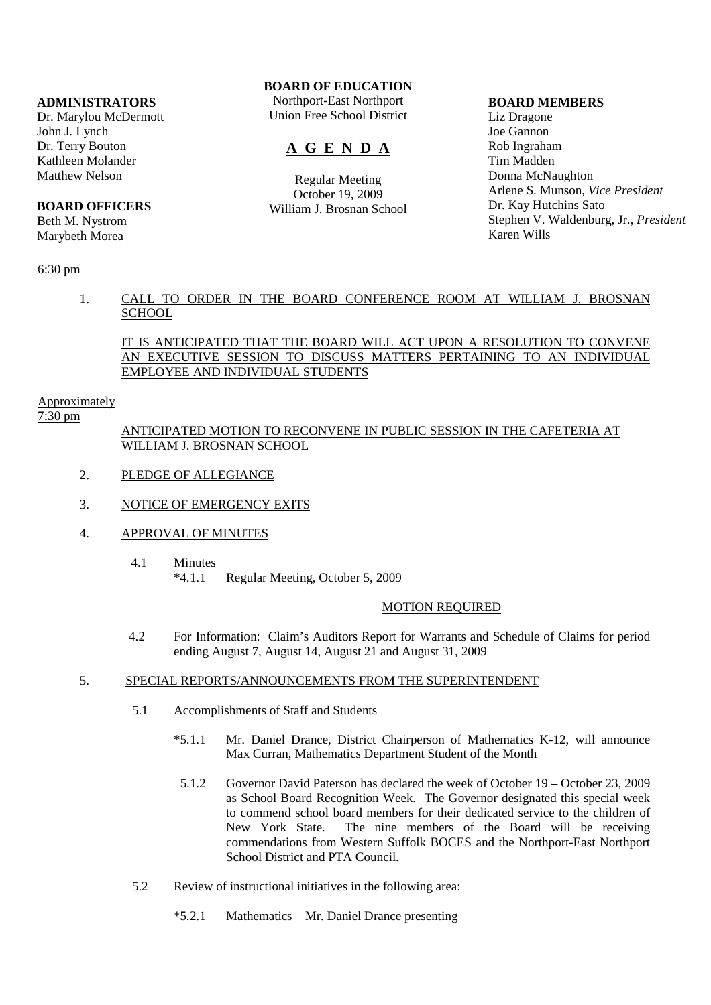### **ADMINISTRATORS**

Dr. Marylou McDermott John J. Lynch Dr. Terry Bouton Kathleen Molander Matthew Nelson

#### **BOARD OFFICERS**

Beth M. Nystrom Marybeth Morea

## **BOARD OF EDUCATION**

Northport-East Northport Union Free School District

# **A G E N D A**

Regular Meeting October 19, 2009 William J. Brosnan School

#### **BOARD MEMBERS**

Liz Dragone Joe Gannon Rob Ingraham Tim Madden Donna McNaughton Arlene S. Munson, *Vice President* Dr. Kay Hutchins Sato Stephen V. Waldenburg, Jr., *President* Karen Wills

### 6:30 pm

### 1. CALL TO ORDER IN THE BOARD CONFERENCE ROOM AT WILLIAM J. BROSNAN **SCHOOL**

### IT IS ANTICIPATED THAT THE BOARD WILL ACT UPON A RESOLUTION TO CONVENE AN EXECUTIVE SESSION TO DISCUSS MATTERS PERTAINING TO AN INDIVIDUAL EMPLOYEE AND INDIVIDUAL STUDENTS

#### Approximately

7:30 pm

### ANTICIPATED MOTION TO RECONVENE IN PUBLIC SESSION IN THE CAFETERIA AT WILLIAM J. BROSNAN SCHOOL

- 2. PLEDGE OF ALLEGIANCE
- 3. NOTICE OF EMERGENCY EXITS
- 4. APPROVAL OF MINUTES
	- 4.1 Minutes \*4.1.1 Regular Meeting, October 5, 2009

#### MOTION REQUIRED

 4.2 For Information: Claim's Auditors Report for Warrants and Schedule of Claims for period ending August 7, August 14, August 21 and August 31, 2009

#### 5. SPECIAL REPORTS/ANNOUNCEMENTS FROM THE SUPERINTENDENT

- 5.1 Accomplishments of Staff and Students
	- \*5.1.1 Mr. Daniel Drance, District Chairperson of Mathematics K-12, will announce Max Curran, Mathematics Department Student of the Month
		- 5.1.2 Governor David Paterson has declared the week of October 19 October 23, 2009 as School Board Recognition Week. The Governor designated this special week to commend school board members for their dedicated service to the children of New York State. The nine members of the Board will be receiving commendations from Western Suffolk BOCES and the Northport-East Northport School District and PTA Council.
- 5.2 Review of instructional initiatives in the following area:
	- \*5.2.1 Mathematics Mr. Daniel Drance presenting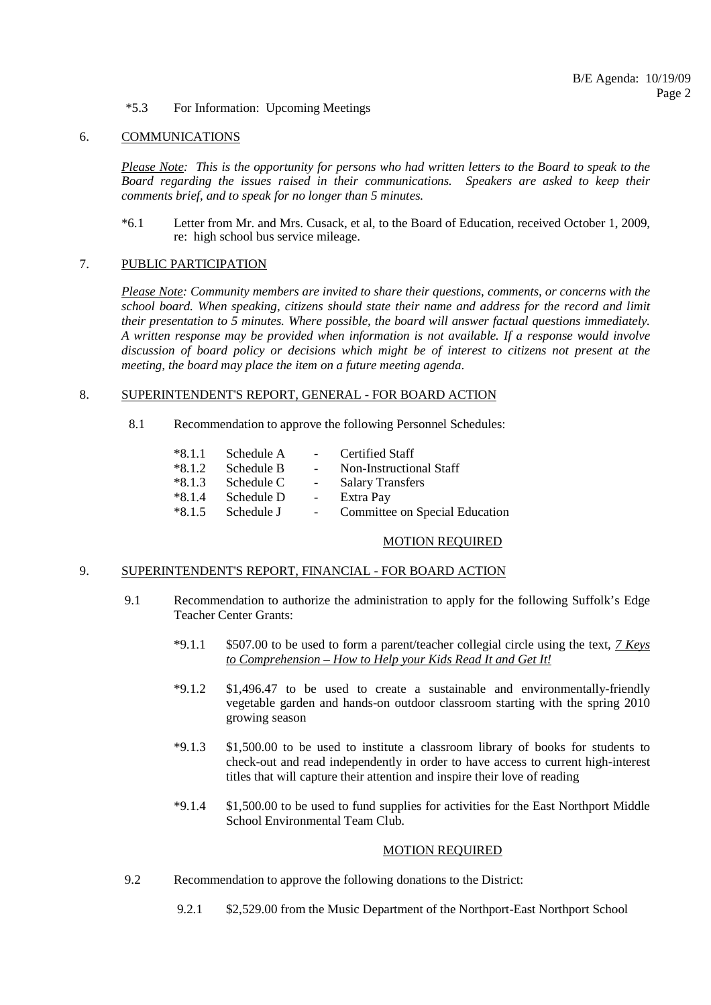#### \*5.3 For Information: Upcoming Meetings

#### 6. COMMUNICATIONS

*Please Note: This is the opportunity for persons who had written letters to the Board to speak to the Board regarding the issues raised in their communications. Speakers are asked to keep their comments brief, and to speak for no longer than 5 minutes.*

 \*6.1 Letter from Mr. and Mrs. Cusack, et al, to the Board of Education, received October 1, 2009, re: high school bus service mileage.

### 7. PUBLIC PARTICIPATION

*Please Note: Community members are invited to share their questions, comments, or concerns with the school board. When speaking, citizens should state their name and address for the record and limit their presentation to 5 minutes. Where possible, the board will answer factual questions immediately. A written response may be provided when information is not available. If a response would involve discussion of board policy or decisions which might be of interest to citizens not present at the meeting, the board may place the item on a future meeting agenda*.

### 8. SUPERINTENDENT'S REPORT, GENERAL - FOR BOARD ACTION

8.1 Recommendation to approve the following Personnel Schedules:

| $*8.1.1$ | Schedule A | $\sim$ $-$ | Certified Staff                |
|----------|------------|------------|--------------------------------|
| $*8.1.2$ | Schedule B | $\sim$     | Non-Instructional Staff        |
| $*8.1.3$ | Schedule C | $\sim$     | <b>Salary Transfers</b>        |
| $*8.1.4$ | Schedule D | $\equiv$   | Extra Pay                      |
| $*8.1.5$ | Schedule J |            | Committee on Special Education |

#### MOTION REQUIRED

### 9. SUPERINTENDENT'S REPORT, FINANCIAL - FOR BOARD ACTION

- 9.1 Recommendation to authorize the administration to apply for the following Suffolk's Edge Teacher Center Grants:
	- \*9.1.1 \$507.00 to be used to form a parent/teacher collegial circle using the text, *7 Keys to Comprehension – How to Help your Kids Read It and Get It!*
	- \*9.1.2 \$1,496.47 to be used to create a sustainable and environmentally-friendly vegetable garden and hands-on outdoor classroom starting with the spring 2010 growing season
	- \*9.1.3 \$1,500.00 to be used to institute a classroom library of books for students to check-out and read independently in order to have access to current high-interest titles that will capture their attention and inspire their love of reading
	- \*9.1.4 \$1,500.00 to be used to fund supplies for activities for the East Northport Middle School Environmental Team Club.

#### MOTION REQUIRED

- 9.2 Recommendation to approve the following donations to the District:
	- 9.2.1 \$2,529.00 from the Music Department of the Northport-East Northport School